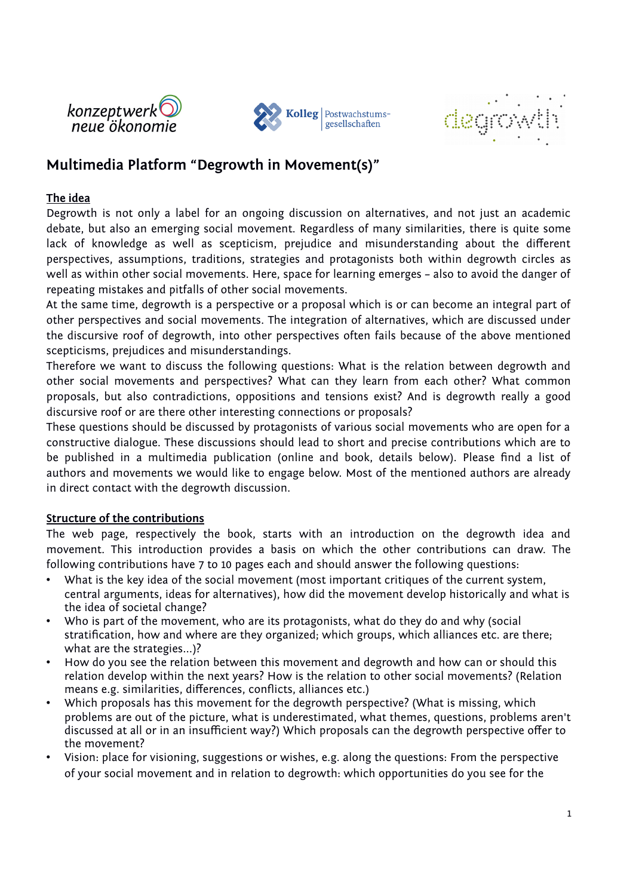





# **Multimedia Platform "Degrowth in Movement(s)"**

### **The idea**

Degrowth is not only a label for an ongoing discussion on alternatives, and not just an academic debate, but also an emerging social movement. Regardless of many similarities, there is quite some lack of knowledge as well as scepticism, prejudice and misunderstanding about the different perspectives, assumptions, traditions, strategies and protagonists both within degrowth circles as well as within other social movements. Here, space for learning emerges – also to avoid the danger of repeating mistakes and pitfalls of other social movements.

At the same time, degrowth is a perspective or a proposal which is or can become an integral part of other perspectives and social movements. The integration of alternatives, which are discussed under the discursive roof of degrowth, into other perspectives often fails because of the above mentioned scepticisms, prejudices and misunderstandings.

Therefore we want to discuss the following questions: What is the relation between degrowth and other social movements and perspectives? What can they learn from each other? What common proposals, but also contradictions, oppositions and tensions exist? And is degrowth really a good discursive roof or are there other interesting connections or proposals?

These questions should be discussed by protagonists of various social movements who are open for a constructive dialogue. These discussions should lead to short and precise contributions which are to be published in a multimedia publication (online and book, details below). Please find a list of authors and movements we would like to engage below. Most of the mentioned authors are already in direct contact with the degrowth discussion.

#### **Structure of the contributions**

The web page, respectively the book, starts with an introduction on the degrowth idea and movement. This introduction provides a basis on which the other contributions can draw. The following contributions have 7 to 10 pages each and should answer the following questions:

- What is the key idea of the social movement (most important critiques of the current system, central arguments, ideas for alternatives), how did the movement develop historically and what is the idea of societal change?
- Who is part of the movement, who are its protagonists, what do they do and why (social stratification, how and where are they organized; which groups, which alliances etc. are there; what are the strategies...)?
- How do you see the relation between this movement and degrowth and how can or should this relation develop within the next years? How is the relation to other social movements? (Relation means e.g. similarities, differences, conflicts, alliances etc.)
- Which proposals has this movement for the degrowth perspective? (What is missing, which problems are out of the picture, what is underestimated, what themes, questions, problems aren't discussed at all or in an insufficient way?) Which proposals can the degrowth perspective offer to the movement?
- Vision: place for visioning, suggestions or wishes, e.g. along the questions: From the perspective of your social movement and in relation to degrowth: which opportunities do you see for the